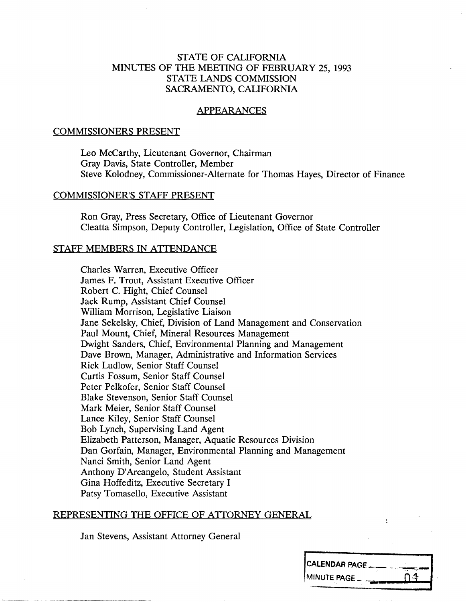### STATE OF CALIFORNIA MINUTES OF THE MEETING OF FEBRUARY 25, 1993 STATE LANDS COMMISSION SACRAMENTO, CALIFORNIA

#### APPEARANCES

### COMMISSIONERS PRESENT

Leo Mccarthy, Lieutenant Governor, Chairman Gray Davis, State Controller, Member Steve Kolodney, Commissioner-Alternate for Thomas Hayes, Director of Finance

#### COMMISSIONER'S STAFF PRESENT

Ron Gray, Press Secretary, Office of Lieutenant Governor Cleatta Simpson, Deputy Controller, Legislation, Office of State Controller

#### STAFF MEMBERS IN ATTENDANCE

Charles Warren, Executive Officer James F. Trout, Assistant Executive Officer Robert C. Hight, Chief Counsel Jack Rump, Assistant Chief Counsel William Morrison, Legislative Liaison Jane Sekelsky, Chief, Division of Land Management and Conservation Paul Mount, Chief, Mineral Resources Management Dwight Sanders, Chief, Environmental Planning and Management Dave Brown, Manager, Administrative and Information Services Rick Ludlow, Senior Staff Counsel Curtis Fossum, Senior Staff Counsel Peter Pelkofer, Senior Staff Counsel Blake Stevenson, Senior Staff Counsel Mark Meier, Senior Staff Counsel Lance Kiley, Senior Staff Counsel Bob Lynch, Supervising Land Agent Elizabeth Patterson, Manager, Aquatic Resources Division Dan Gorfain, Manager, Environmental Planning and Management Nanci Smith, Senior Land Agent Anthony D'Arcangelo, Student Assistant Gina Hoffeditz, Executive Secretary I Patsy Tomasello, Executive Assistant

### REPRESENTING THE OFFICE OF ATTORNEY GENERAL

Jan Stevens, Assistant Attorney General

| ICALENDAR PAGE_ |        |
|-----------------|--------|
| MINUTE PAGE     | تدنينا |
|                 |        |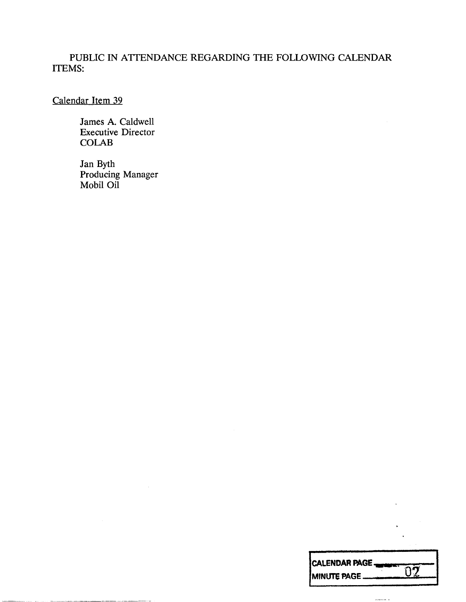# PUBLIC IN ATTENDANCE REGARDING THE FOLLOWING CALENDAR ITEMS:

Calendar Item 39

James A. Caldwell Executive Director COLAB

Jan Byth Producing Manager Mobil Oil

| <b>CALENDAR PAGE</b> |
|----------------------|
| <b>MINUTE PAGE</b>   |

 $\mu_{\rm c}$  and  $\mu_{\rm c}$  .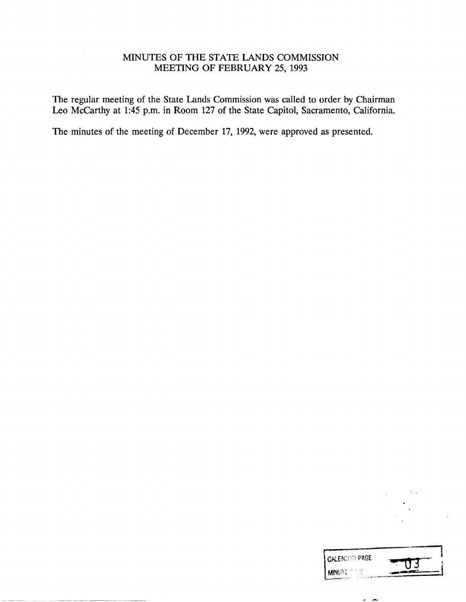# MINUTES OF THE STATE LANDS COMMISSION MEETING OF FEBRUARY 25, 1993

The regular meeting of the State Lands Commission was called to order by Chairman Leo Mccarthy at 1:45 p.m. in Room 127 of the State Capitol, Sacramento, California.

The minutes of the meeting of December 17, 1992, were approved as presented.